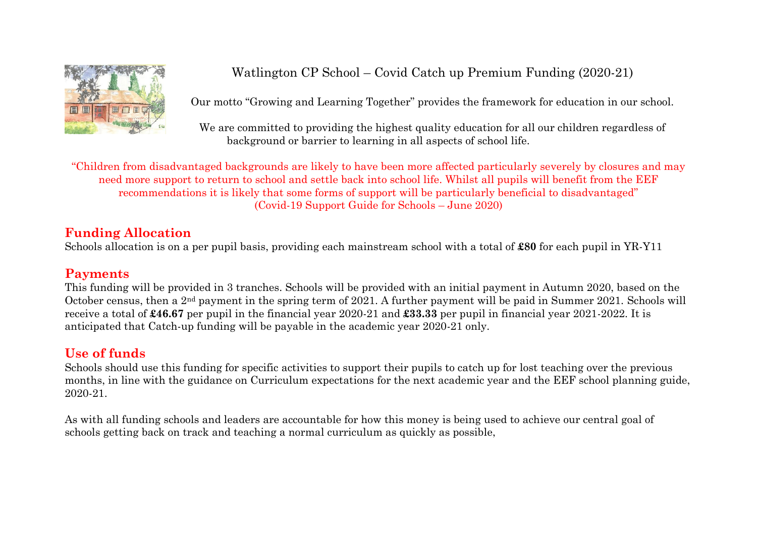

### Watlington CP School – Covid Catch up Premium Funding (2020-21)

Our motto "Growing and Learning Together" provides the framework for education in our school.

We are committed to providing the highest quality education for all our children regardless of background or barrier to learning in all aspects of school life.

"Children from disadvantaged backgrounds are likely to have been more affected particularly severely by closures and may need more support to return to school and settle back into school life. Whilst all pupils will benefit from the EEF recommendations it is likely that some forms of support will be particularly beneficial to disadvantaged" (Covid-19 Support Guide for Schools – June 2020)

#### **Funding Allocation**

Schools allocation is on a per pupil basis, providing each mainstream school with a total of **£80** for each pupil in YR-Y11

#### **Payments**

This funding will be provided in 3 tranches. Schools will be provided with an initial payment in Autumn 2020, based on the October census, then a 2nd payment in the spring term of 2021. A further payment will be paid in Summer 2021. Schools will receive a total of **£46.67** per pupil in the financial year 2020-21 and **£33.33** per pupil in financial year 2021-2022. It is anticipated that Catch-up funding will be payable in the academic year 2020-21 only.

### **Use of funds**

Schools should use this funding for specific activities to support their pupils to catch up for lost teaching over the previous months, in line with the guidance on Curriculum expectations for the next academic year and the EEF school planning guide, 2020-21.

As with all funding schools and leaders are accountable for how this money is being used to achieve our central goal of schools getting back on track and teaching a normal curriculum as quickly as possible,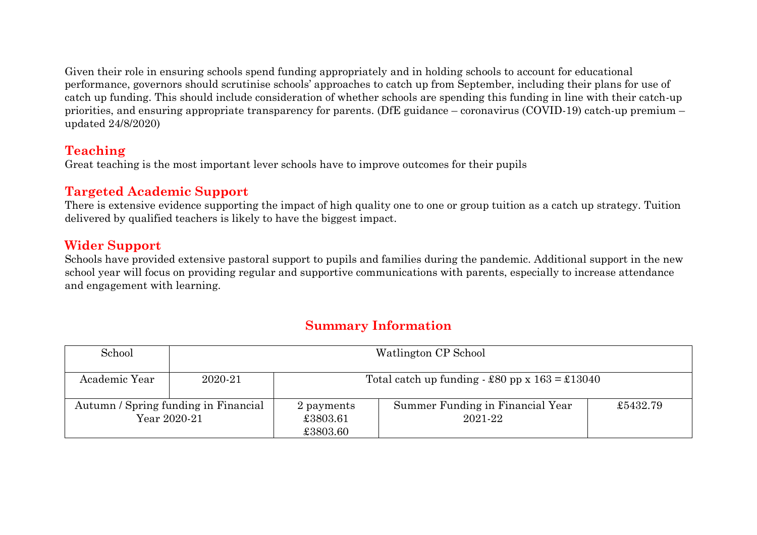Given their role in ensuring schools spend funding appropriately and in holding schools to account for educational performance, governors should scrutinise schools' approaches to catch up from September, including their plans for use of catch up funding. This should include consideration of whether schools are spending this funding in line with their catch-up priorities, and ensuring appropriate transparency for parents. (DfE guidance – coronavirus (COVID-19) catch-up premium – updated 24/8/2020)

#### **Teaching**

Great teaching is the most important lever schools have to improve outcomes for their pupils

#### **Targeted Academic Support**

There is extensive evidence supporting the impact of high quality one to one or group tuition as a catch up strategy. Tuition delivered by qualified teachers is likely to have the biggest impact.

### **Wider Support**

Schools have provided extensive pastoral support to pupils and families during the pandemic. Additional support in the new school year will focus on providing regular and supportive communications with parents, especially to increase attendance and engagement with learning.

| School        |                                                      |                                    | Watlington CP School                             |          |
|---------------|------------------------------------------------------|------------------------------------|--------------------------------------------------|----------|
| Academic Year | 2020-21                                              |                                    | Total catch up funding $-$ £80 pp x 163 = £13040 |          |
|               | Autumn / Spring funding in Financial<br>Year 2020-21 | 2 payments<br>£3803.61<br>£3803.60 | Summer Funding in Financial Year<br>2021-22      | £5432.79 |

#### **Summary Information**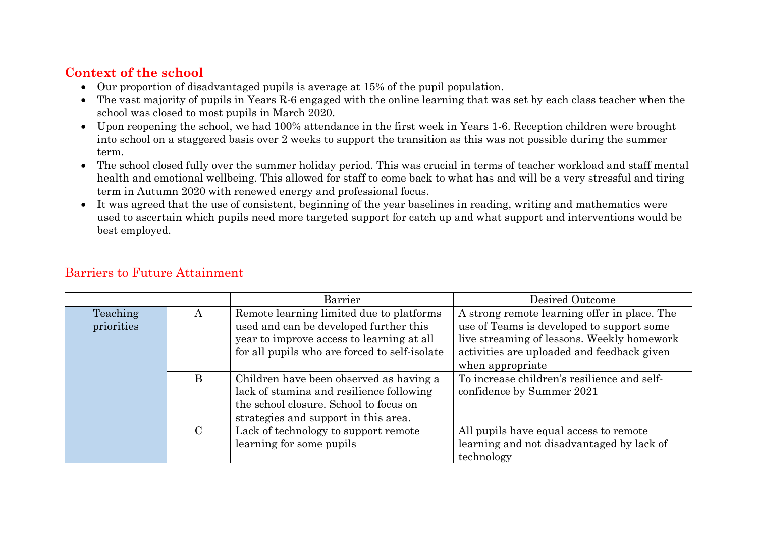#### **Context of the school**

- Our proportion of disadvantaged pupils is average at 15% of the pupil population.
- The vast majority of pupils in Years R-6 engaged with the online learning that was set by each class teacher when the school was closed to most pupils in March 2020.
- Upon reopening the school, we had 100% attendance in the first week in Years 1-6. Reception children were brought into school on a staggered basis over 2 weeks to support the transition as this was not possible during the summer term.
- The school closed fully over the summer holiday period. This was crucial in terms of teacher workload and staff mental health and emotional wellbeing. This allowed for staff to come back to what has and will be a very stressful and tiring term in Autumn 2020 with renewed energy and professional focus.
- It was agreed that the use of consistent, beginning of the year baselines in reading, writing and mathematics were used to ascertain which pupils need more targeted support for catch up and what support and interventions would be best employed.

|                        |              | Barrier                                                                                                                                                                          | Desired Outcome                                                                                                                                                                                           |
|------------------------|--------------|----------------------------------------------------------------------------------------------------------------------------------------------------------------------------------|-----------------------------------------------------------------------------------------------------------------------------------------------------------------------------------------------------------|
| Teaching<br>priorities | $\mathbf{A}$ | Remote learning limited due to platforms<br>used and can be developed further this<br>year to improve access to learning at all<br>for all pupils who are forced to self-isolate | A strong remote learning offer in place. The<br>use of Teams is developed to support some<br>live streaming of lessons. Weekly homework<br>activities are uploaded and feedback given<br>when appropriate |
|                        | B            | Children have been observed as having a<br>lack of stamina and resilience following<br>the school closure. School to focus on<br>strategies and support in this area.            | To increase children's resilience and self-<br>confidence by Summer 2021                                                                                                                                  |
|                        |              | Lack of technology to support remote<br>learning for some pupils                                                                                                                 | All pupils have equal access to remote<br>learning and not disadvantaged by lack of<br>technology                                                                                                         |

#### Barriers to Future Attainment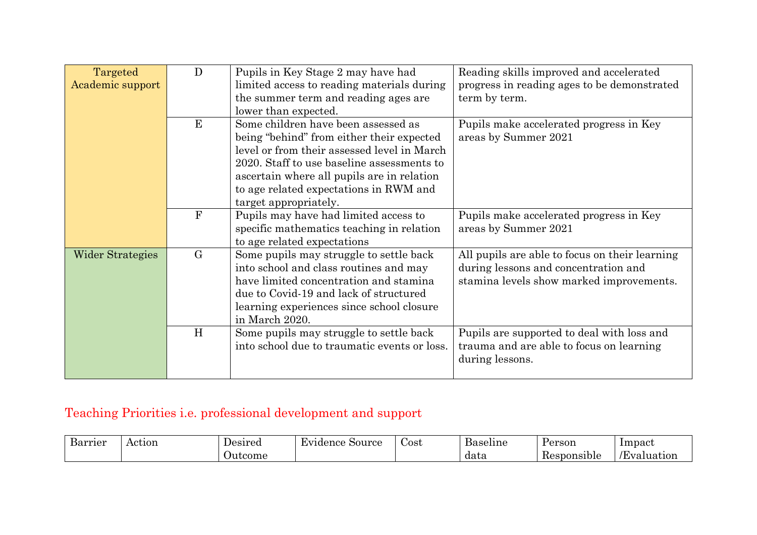| Targeted                | $\mathbf{D}$ | Pupils in Key Stage 2 may have had           | Reading skills improved and accelerated        |
|-------------------------|--------------|----------------------------------------------|------------------------------------------------|
| Academic support        |              | limited access to reading materials during   | progress in reading ages to be demonstrated    |
|                         |              | the summer term and reading ages are         | term by term.                                  |
|                         |              | lower than expected.                         |                                                |
|                         | E            | Some children have been assessed as          | Pupils make accelerated progress in Key        |
|                         |              | being "behind" from either their expected    | areas by Summer 2021                           |
|                         |              | level or from their assessed level in March  |                                                |
|                         |              | 2020. Staff to use baseline assessments to   |                                                |
|                         |              | ascertain where all pupils are in relation   |                                                |
|                         |              | to age related expectations in RWM and       |                                                |
|                         |              | target appropriately.                        |                                                |
|                         | $\mathbf{F}$ | Pupils may have had limited access to        | Pupils make accelerated progress in Key        |
|                         |              | specific mathematics teaching in relation    | areas by Summer 2021                           |
|                         |              | to age related expectations                  |                                                |
| <b>Wider Strategies</b> | $\rm G$      | Some pupils may struggle to settle back      | All pupils are able to focus on their learning |
|                         |              | into school and class routines and may       | during lessons and concentration and           |
|                         |              | have limited concentration and stamina       | stamina levels show marked improvements.       |
|                         |              | due to Covid-19 and lack of structured       |                                                |
|                         |              | learning experiences since school closure    |                                                |
|                         |              | in March 2020.                               |                                                |
|                         | H            | Some pupils may struggle to settle back      | Pupils are supported to deal with loss and     |
|                         |              | into school due to traumatic events or loss. | trauma and are able to focus on learning       |
|                         |              |                                              | during lessons.                                |
|                         |              |                                              |                                                |

# Teaching Priorities i.e. professional development and support

| Ð<br>Barrier | Action | Uesirea | $\sim$<br>Evidence<br>Source | Cost | Ð<br>Baseline | Person                   | Impact       |
|--------------|--------|---------|------------------------------|------|---------------|--------------------------|--------------|
|              |        | Jutcome |                              |      | data          | . .<br>Kesponsi'<br>.oie | Æ<br>duation |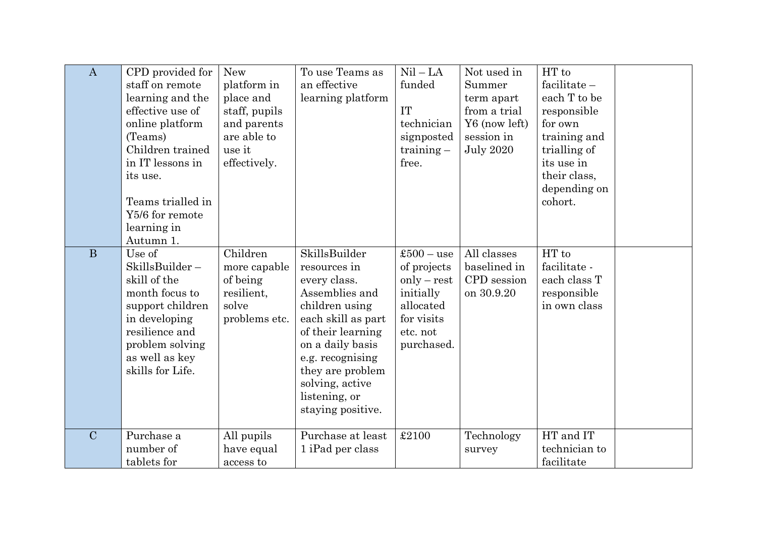| $\bf{A}$       | CPD provided for<br>staff on remote<br>learning and the<br>effective use of<br>online platform<br>(Teams)<br>Children trained<br>in IT lessons in<br>its use.<br>Teams trialled in<br>Y5/6 for remote<br>learning in<br>Autumn 1. | <b>New</b><br>platform in<br>place and<br>staff, pupils<br>and parents<br>are able to<br>use it<br>effectively. | To use Teams as<br>an effective<br>learning platform                                                                                                                                                                                              | $Nil - LA$<br>funded<br><b>IT</b><br>technician<br>signposted<br>$training -$<br>free.                         | Not used in<br>Summer<br>term apart<br>from a trial<br>Y6 (now left)<br>session in<br><b>July 2020</b> | HT to<br>$facilitate -$<br>each T to be<br>responsible<br>for own<br>training and<br>trialling of<br>its use in<br>their class,<br>depending on<br>cohort. |  |
|----------------|-----------------------------------------------------------------------------------------------------------------------------------------------------------------------------------------------------------------------------------|-----------------------------------------------------------------------------------------------------------------|---------------------------------------------------------------------------------------------------------------------------------------------------------------------------------------------------------------------------------------------------|----------------------------------------------------------------------------------------------------------------|--------------------------------------------------------------------------------------------------------|------------------------------------------------------------------------------------------------------------------------------------------------------------|--|
| $\mathbf{B}$   | Use of<br>SkillsBuilder-<br>skill of the<br>month focus to<br>support children<br>in developing<br>resilience and<br>problem solving<br>as well as key<br>skills for Life.                                                        | Children<br>more capable<br>of being<br>resilient,<br>solve<br>problems etc.                                    | SkillsBuilder<br>resources in<br>every class.<br>Assemblies and<br>children using<br>each skill as part<br>of their learning<br>on a daily basis<br>e.g. recognising<br>they are problem<br>solving, active<br>listening, or<br>staying positive. | $$500 - use$<br>of projects<br>$only - rest$<br>initially<br>allocated<br>for visits<br>etc. not<br>purchased. | All classes<br>baselined in<br>CPD session<br>on 30.9.20                                               | HT to<br>facilitate -<br>each class T<br>responsible<br>in own class                                                                                       |  |
| $\overline{C}$ | Purchase a<br>number of<br>tablets for                                                                                                                                                                                            | All pupils<br>have equal<br>access to                                                                           | Purchase at least<br>1 iPad per class                                                                                                                                                                                                             | £2100                                                                                                          | Technology<br>survey                                                                                   | HT and IT<br>technician to<br>facilitate                                                                                                                   |  |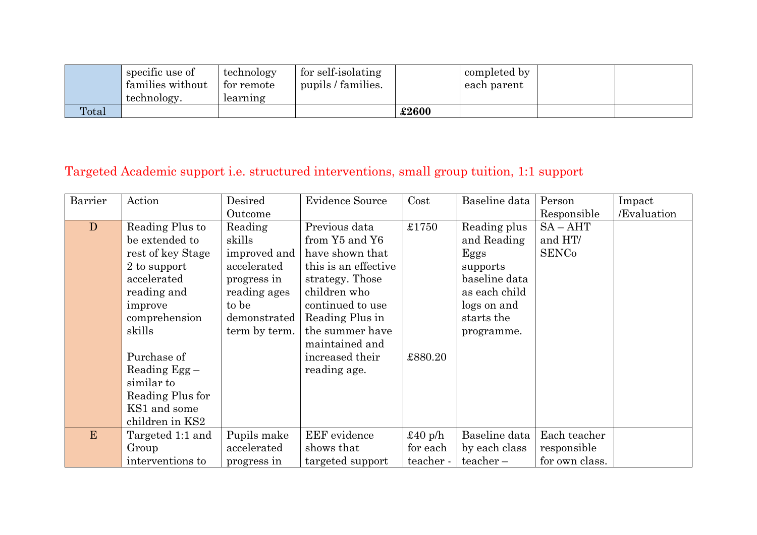|       | specific use of<br>families without | technology<br>for remote | for self-isolating<br>pupils / families. |       | completed by<br>each parent |  |
|-------|-------------------------------------|--------------------------|------------------------------------------|-------|-----------------------------|--|
|       | technology.                         | learning                 |                                          |       |                             |  |
| Total |                                     |                          |                                          | £2600 |                             |  |

# Targeted Academic support i.e. structured interventions, small group tuition, 1:1 support

| Barrier | Action            | Desired       | <b>Evidence Source</b> | Cost             | Baseline data | Person         | Impact      |
|---------|-------------------|---------------|------------------------|------------------|---------------|----------------|-------------|
|         |                   | Outcome       |                        |                  |               | Responsible    | /Evaluation |
| D       | Reading Plus to   | Reading       | Previous data          | £1750            | Reading plus  | $SA - AHT$     |             |
|         | be extended to    | skills        | from Y5 and Y6         |                  | and Reading   | and HT/        |             |
|         | rest of key Stage | improved and  | have shown that        |                  | Eggs          | <b>SENCo</b>   |             |
|         | 2 to support      | accelerated   | this is an effective   |                  | supports      |                |             |
|         | accelerated       | progress in   | strategy. Those        |                  | baseline data |                |             |
|         | reading and       | reading ages  | children who           |                  | as each child |                |             |
|         | improve           | to be         | continued to use       |                  | logs on and   |                |             |
|         | comprehension     | demonstrated  | Reading Plus in        |                  | starts the    |                |             |
|         | skills            | term by term. | the summer have        |                  | programme.    |                |             |
|         |                   |               | maintained and         |                  |               |                |             |
|         | Purchase of       |               | increased their        | £880.20          |               |                |             |
|         | Reading $Egg -$   |               | reading age.           |                  |               |                |             |
|         | similar to        |               |                        |                  |               |                |             |
|         | Reading Plus for  |               |                        |                  |               |                |             |
|         | KS1 and some      |               |                        |                  |               |                |             |
|         | children in KS2   |               |                        |                  |               |                |             |
| E       | Targeted 1:1 and  | Pupils make   | <b>EEF</b> evidence    | $\pounds 40$ p/h | Baseline data | Each teacher   |             |
|         | Group             | accelerated   | shows that             | for each         | by each class | responsible    |             |
|         | interventions to  | progress in   | targeted support       | teacher -        | $teacher -$   | for own class. |             |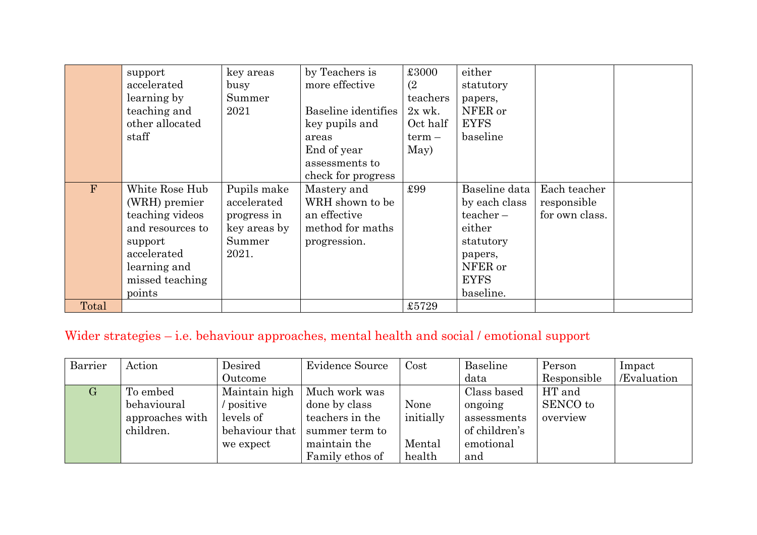|       | support<br>accelerated<br>learning by<br>teaching and<br>other allocated<br>staff                                                             | key areas<br>busy<br>Summer<br>2021                                          | by Teachers is<br>more effective<br>Baseline identifies<br>key pupils and<br>areas<br>End of year<br>assessments to<br>check for progress | £3000<br>(2)<br>teachers<br>$2x$ wk.<br>Oct half<br>$term -$<br>May) | either<br>statutory<br>papers,<br>NFER or<br><b>EYFS</b><br>baseline                                                   |                                               |  |
|-------|-----------------------------------------------------------------------------------------------------------------------------------------------|------------------------------------------------------------------------------|-------------------------------------------------------------------------------------------------------------------------------------------|----------------------------------------------------------------------|------------------------------------------------------------------------------------------------------------------------|-----------------------------------------------|--|
| F     | White Rose Hub<br>(WRH) premier<br>teaching videos<br>and resources to<br>support<br>accelerated<br>learning and<br>missed teaching<br>points | Pupils make<br>accelerated<br>progress in<br>key areas by<br>Summer<br>2021. | Mastery and<br>WRH shown to be<br>an effective<br>method for maths<br>progression.                                                        | £99                                                                  | Baseline data<br>by each class<br>$teacher -$<br>either<br>statutory<br>papers,<br>NFER or<br><b>EYFS</b><br>baseline. | Each teacher<br>responsible<br>for own class. |  |
| Total |                                                                                                                                               |                                                                              |                                                                                                                                           | £5729                                                                |                                                                                                                        |                                               |  |

# Wider strategies – i.e. behaviour approaches, mental health and social / emotional support

| Barrier | Action          | Desired         | <b>Evidence Source</b> | Cost      | Baseline      | Person      | Impact      |
|---------|-----------------|-----------------|------------------------|-----------|---------------|-------------|-------------|
|         |                 | Outcome         |                        |           | data          | Responsible | /Evaluation |
| $\rm G$ | To embed        | Maintain high   | Much work was          |           | Class based   | HT and      |             |
|         | behavioural     | <i>positive</i> | done by class          | None      | ongoing       | SENCO to    |             |
|         | approaches with | levels of       | teachers in the        | initially | assessments   | overview    |             |
|         | children.       | behaviour that  | summer term to         |           | of children's |             |             |
|         |                 | we expect       | maintain the           | Mental    | emotional     |             |             |
|         |                 |                 | Family ethos of        | health    | and           |             |             |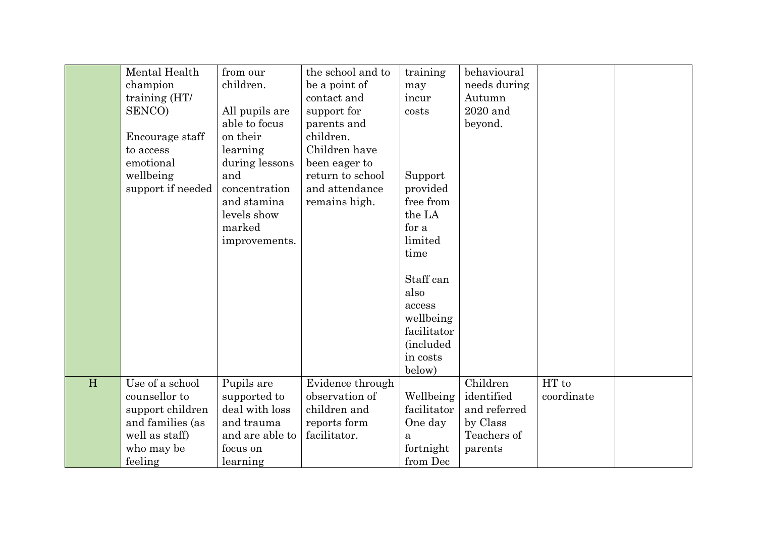|   | Mental Health     | from our        | the school and to | training          | behavioural  |            |  |
|---|-------------------|-----------------|-------------------|-------------------|--------------|------------|--|
|   | champion          | children.       | be a point of     | may               | needs during |            |  |
|   | training (HT/     |                 | contact and       | incur             | Autumn       |            |  |
|   | SENCO)            | All pupils are  | support for       | costs             | 2020 and     |            |  |
|   |                   | able to focus   | parents and       |                   | beyond.      |            |  |
|   | Encourage staff   | on their        | children.         |                   |              |            |  |
|   | to access         | learning        | Children have     |                   |              |            |  |
|   | emotional         | during lessons  | been eager to     |                   |              |            |  |
|   | wellbeing         | and             | return to school  | Support           |              |            |  |
|   | support if needed | concentration   | and attendance    | provided          |              |            |  |
|   |                   | and stamina     | remains high.     | free from         |              |            |  |
|   |                   | levels show     |                   | the LA            |              |            |  |
|   |                   | marked          |                   | for a             |              |            |  |
|   |                   | improvements.   |                   | limited           |              |            |  |
|   |                   |                 |                   | time              |              |            |  |
|   |                   |                 |                   |                   |              |            |  |
|   |                   |                 |                   | Staff can         |              |            |  |
|   |                   |                 |                   | also              |              |            |  |
|   |                   |                 |                   | access            |              |            |  |
|   |                   |                 |                   | wellbeing         |              |            |  |
|   |                   |                 |                   | facilitator       |              |            |  |
|   |                   |                 |                   | <i>(included)</i> |              |            |  |
|   |                   |                 |                   | in costs          |              |            |  |
|   |                   |                 |                   | below)            |              |            |  |
| H | Use of a school   | Pupils are      | Evidence through  |                   | Children     | HT to      |  |
|   | counsellor to     | supported to    | observation of    | Wellbeing         | identified   | coordinate |  |
|   | support children  | deal with loss  | children and      | facilitator       | and referred |            |  |
|   | and families (as  | and trauma      | reports form      | One day           | by Class     |            |  |
|   | well as staff)    | and are able to | facilitator.      | a                 | Teachers of  |            |  |
|   | who may be        | focus on        |                   | fortnight         | parents      |            |  |
|   | feeling           | learning        |                   | from Dec          |              |            |  |